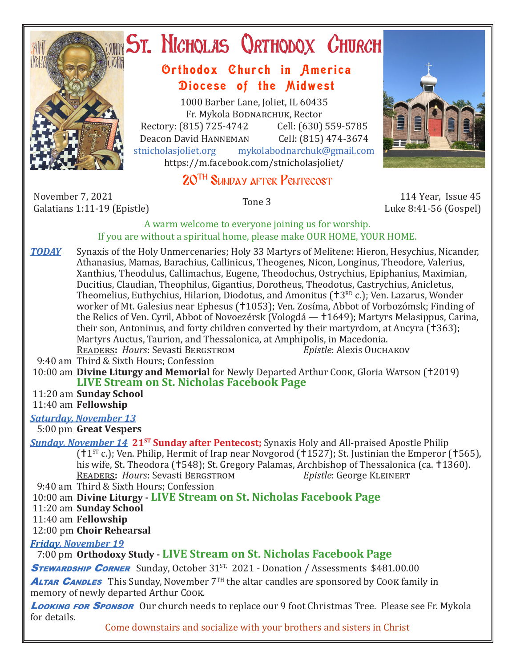

# ST. NICHOLAS QRTHODOX CHURCH

## Orthodox Church in America Diocese of the Midwest

1000 Barber Lane, Joliet, IL 60435 Fr. Mykola Bodnarchuk, Rector Rectory: (815) 725-4742 Cell: (630) 559-5785<br>Deacon David HANNEMAN Cell: (815) 474-3674 Deacon David HANNEMAN<br>stnicholasioliet.org mykola mykolabodnarchuk@gmail.com https://m.facebook.com/stnicholasjoliet/

# 20TH Sunday after Pentecost

November 7, 2021 November 7, 2021<br>Galatians 1:11-19 (Epistle) 114 Year, Issue 45<br>Galatians 1:11-19 (Epistle) 19



Luke 8:41-56 (Gospel)

## A warm welcome to everyone joining us for worship. If you are without a spiritual home, please make OUR HOME, YOUR HOME.

- **TODAY** Synaxis of the Holy Unmercenaries; Holy 33 Martyrs of Melitene: Hieron, Hesychius, Nicander, Athanasius, Mamas, Barachius, Callinicus, Theogenes, Nicon, Longinus, Theodore, Valerius, Xanthius, Theodulus, Callimachus, Eugene, Theodochus, Ostrychius, Epiphanius, Maximian, Ducitius, Claudian, Theophilus, Gigantius, Dorotheus, Theodotus, Castrychius, Anicletus, Theomelius, Euthychius, Hilarion, Diodotus, and Amonitus ( $13<sup>RD</sup>$  c.); Ven. Lazarus, Wonder worker of Mt. Galesius near Ephesus (†1053); Ven. Zosíma, Abbot of Vorbozómsk; Finding of the Relics of Ven. Cyril, Abbot of Novoezérsk (Vologdá — 1649); Martyrs Melasippus, Carina, their son, Antoninus, and forty children converted by their martyrdom, at Ancyra (†363); Martyrs Auctus, Taurion, and Thessalonica, at Amphipolis, in Macedonia.<br>READERS: Hours: Sevasti BERGSTROM Epistle: Alexis OUCHAKOV READERS: *Hours*: Sevasti BERGSTROM
- 9:40 am Third & Sixth Hours; Confession
- 10:00 am **Divine Liturgy and Memorial** for Newly Departed Arthur Cook, Gloria WATSON (†2019) **LIVE Stream on St. Nicholas Facebook Page**

11:20 am **Sunday School**

11:40 am **Fellowship**

## *Saturday, November 13*

5:00 pm **Great Vespers**

*Sunday, November 14* **21<sup>st</sup> Sunday after Pentecost;** Synaxis Holy and All-praised Apostle Philip ( $11^{ST}$  c.); Ven. Philip, Hermit of Irap near Novgorod ( $11527$ ); St. Justinian the Emperor ( $1565$ ), his wife, St. Theodora († 548); St. Gregory Palamas, Archbishop of Thessalonica (ca. † 1360).<br>READERS: Hours: Sevasti BERGSTROM Epistle: George KLEINERT READERS: *Hours*: Sevasti BERGSTROM

9:40 am Third & Sixth Hours; Confession

10:00 am **Divine Liturgy - LIVE Stream on St. Nicholas Facebook Page**

11:20 am **Sunday School**

11:40 am **Fellowship**

12:00 pm **Choir Rehearsal**

*Friday, November 19* 

7:00 pm **Orthodoxy Study - LIVE Stream on St. Nicholas Facebook Page**

**STEWARDSHIP CORNER** Sunday, October 31<sup>ST,</sup> 2021 - Donation / Assessments \$481.00.00

**ALTAR CANDLES** This Sunday, November  $7<sup>TH</sup>$  the altar candles are sponsored by Cook family in memory of newly departed Arthur Cook*.*

Looking FOR SPONSOR Our church needs to replace our 9 foot Christmas Tree. Please see Fr. Mykola for details.

Come downstairs and socialize with your brothers and sisters in Christ